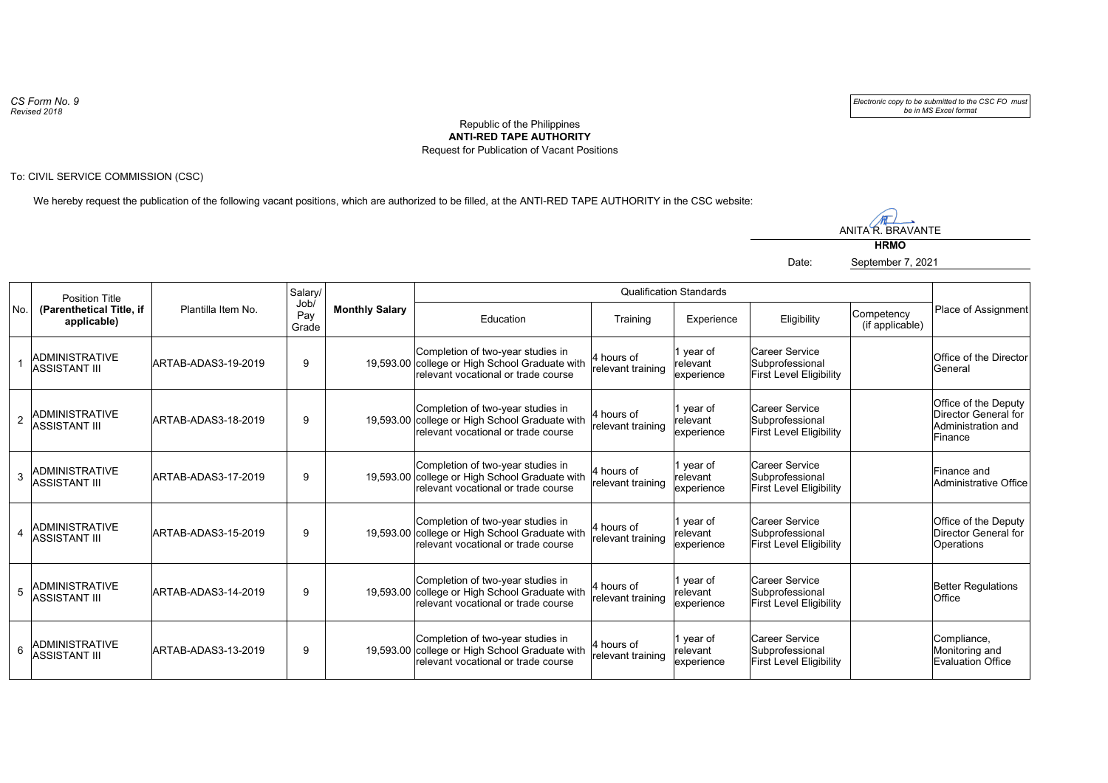*CS Form No. 9 Revised 2018*

*Electronic copy to be submitted to the CSC FO must be in MS Excel format*

## Republic of the Philippines **ANTI-RED TAPE AUTHORITY** Request for Publication of Vacant Positions

To: CIVIL SERVICE COMMISSION (CSC)

We hereby request the publication of the following vacant positions, which are authorized to be filled, at the ANTI-RED TAPE AUTHORITY in the CSC website:

M ANITA R. BRAVANTE

**HRMO**

Date: September 7, 2021

| No.            | <b>Position Title</b><br>(Parenthetical Title, if<br>applicable) | Plantilla Item No.  | Salary/<br>Job/<br>Pay<br>Grade | <b>Monthly Salary</b> | <b>Qualification Standards</b>                                                                                             |                                 |                                      |                                                                     |                               |                                                                               |
|----------------|------------------------------------------------------------------|---------------------|---------------------------------|-----------------------|----------------------------------------------------------------------------------------------------------------------------|---------------------------------|--------------------------------------|---------------------------------------------------------------------|-------------------------------|-------------------------------------------------------------------------------|
|                |                                                                  |                     |                                 |                       | Education                                                                                                                  | Training                        | Experience                           | Eligibility                                                         | Competency<br>(if applicable) | Place of Assignment                                                           |
|                | <b>ADMINISTRATIVE</b><br><b>ASSISTANT III</b>                    | ARTAB-ADAS3-19-2019 | 9                               |                       | Completion of two-year studies in<br>19,593.00 college or High School Graduate with<br>relevant vocational or trade course | 4 hours of<br>relevant training | 1 year of<br>relevant<br>experience  | Career Service<br>Subprofessional<br><b>First Level Eligibility</b> |                               | Office of the Director<br>lGeneral                                            |
| $\overline{2}$ | <b>ADMINISTRATIVE</b><br>ASSISTANT III                           | ARTAB-ADAS3-18-2019 | 9                               |                       | Completion of two-year studies in<br>19,593.00 college or High School Graduate with<br>relevant vocational or trade course | 4 hours of<br>relevant training | 1 year of<br>relevant<br>experience  | Career Service<br>Subprofessional<br><b>First Level Eligibility</b> |                               | Office of the Deputy<br>Director General for<br>Administration and<br>Finance |
| 3              | ADMINISTRATIVE<br><b>ASSISTANT III</b>                           | ARTAB-ADAS3-17-2019 | 9                               |                       | Completion of two-year studies in<br>19,593.00 college or High School Graduate with<br>relevant vocational or trade course | 4 hours of<br>relevant training | 1 year of<br>relevant<br>experience  | Career Service<br>Subprofessional<br><b>First Level Eligibility</b> |                               | Finance and<br>Administrative Office                                          |
|                | ADMINISTRATIVE<br>ASSISTANT III                                  | ARTAB-ADAS3-15-2019 | 9                               |                       | Completion of two-year studies in<br>19,593.00 college or High School Graduate with<br>relevant vocational or trade course | 4 hours of<br>relevant training | 1 year of<br>relevant<br>lexperience | Career Service<br>Subprofessional<br><b>First Level Eligibility</b> |                               | Office of the Deputy<br>Director General for<br>Operations                    |
| 5              | ADMINISTRATIVE<br>ASSISTANT III                                  | ARTAB-ADAS3-14-2019 | 9                               |                       | Completion of two-year studies in<br>19,593.00 college or High School Graduate with<br>relevant vocational or trade course | 4 hours of<br>relevant training | 1 year of<br>relevant<br>experience  | Career Service<br>Subprofessional<br><b>First Level Eligibility</b> |                               | <b>Better Regulations</b><br><b>Office</b>                                    |
| 6              | ADMINISTRATIVE<br><b>ASSISTANT III</b>                           | ARTAB-ADAS3-13-2019 | 9                               |                       | Completion of two-year studies in<br>19,593.00 college or High School Graduate with<br>relevant vocational or trade course | 4 hours of<br>relevant training | 1 year of<br>relevant<br>experience  | Career Service<br>Subprofessional<br>First Level Eligibility        |                               | Compliance,<br>Monitoring and<br><b>Evaluation Office</b>                     |